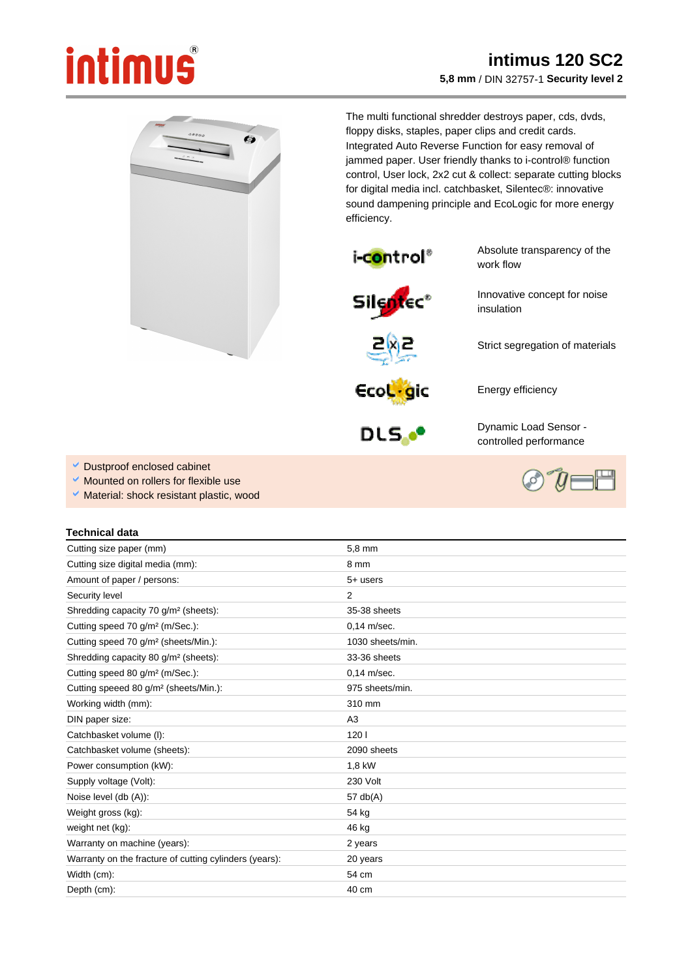## intimus

 $\bullet$ 

## **intimus 120 SC2 5,8 mm** / DIN 32757-1 **Security level 2**

The multi functional shredder destroys paper, cds, dvds, floppy disks, staples, paper clips and credit cards. Integrated Auto Reverse Function for easy removal of jammed paper. User friendly thanks to i-control® function control, User lock, 2x2 cut & collect: separate cutting blocks for digital media incl. catchbasket, Silentec®: innovative sound dampening principle and EcoLogic for more energy efficiency.



Absolute transparency of the work flow

Innovative concept for noise

Strict segregation of materials





Energy efficiency

insulation



Dynamic Load Sensor controlled performance

- Dustproof enclosed cabinet
- Mounted on rollers for flexible use
- Ŷ, Material: shock resistant plastic, wood

## **Technical data**

| Cutting size paper (mm)                                | 5,8 mm           |
|--------------------------------------------------------|------------------|
|                                                        |                  |
| Cutting size digital media (mm):                       | 8 mm             |
| Amount of paper / persons:                             | $5+$ users       |
| Security level                                         | 2                |
| Shredding capacity 70 g/m <sup>2</sup> (sheets):       | 35-38 sheets     |
| Cutting speed 70 g/m <sup>2</sup> (m/Sec.):            | $0.14$ m/sec.    |
| Cutting speed 70 g/m <sup>2</sup> (sheets/Min.):       | 1030 sheets/min. |
| Shredding capacity 80 g/m <sup>2</sup> (sheets):       | 33-36 sheets     |
| Cutting speed 80 g/m <sup>2</sup> (m/Sec.):            | $0.14$ m/sec.    |
| Cutting speeed 80 g/m <sup>2</sup> (sheets/Min.):      | 975 sheets/min.  |
| Working width (mm):                                    | 310 mm           |
| DIN paper size:                                        | A3               |
| Catchbasket volume (I):                                | 1201             |
| Catchbasket volume (sheets):                           | 2090 sheets      |
| Power consumption (kW):                                | 1,8 kW           |
| Supply voltage (Volt):                                 | 230 Volt         |
| Noise level (db (A)):                                  | 57 $db(A)$       |
| Weight gross (kg):                                     | 54 kg            |
| weight net (kg):                                       | 46 kg            |
| Warranty on machine (years):                           | 2 years          |
| Warranty on the fracture of cutting cylinders (years): | 20 years         |
| Width (cm):                                            | 54 cm            |
| Depth (cm):                                            | $40 \text{ cm}$  |